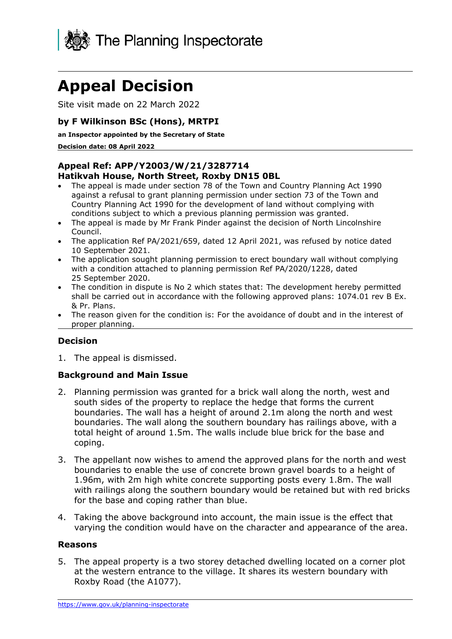

# **Appeal Decision**

Site visit made on 22 March 2022

## **by F Wilkinson BSc (Hons), MRTPI**

**an Inspector appointed by the Secretary of State** 

**Decision date: 08 April 2022**

#### **Appeal Ref: APP/Y2003/W/21/3287714 Hatikvah House, North Street, Roxby DN15 0BL**

- The appeal is made under section 78 of the Town and Country Planning Act 1990 against a refusal to grant planning permission under section 73 of the Town and Country Planning Act 1990 for the development of land without complying with conditions subject to which a previous planning permission was granted.
- The appeal is made by Mr Frank Pinder against the decision of North Lincolnshire Council.
- The application Ref PA/2021/659, dated 12 April 2021, was refused by notice dated 10 September 2021.
- The application sought planning permission to erect boundary wall without complying with a condition attached to planning permission Ref PA/2020/1228, dated 25 September 2020.
- The condition in dispute is No 2 which states that: The development hereby permitted shall be carried out in accordance with the following approved plans: 1074.01 rev B Ex. & Pr. Plans.
- The reason given for the condition is: For the avoidance of doubt and in the interest of proper planning.

## **Decision**

1. The appeal is dismissed.

### **Background and Main Issue**

- 2. Planning permission was granted for a brick wall along the north, west and south sides of the property to replace the hedge that forms the current boundaries. The wall has a height of around 2.1m along the north and west boundaries. The wall along the southern boundary has railings above, with a total height of around 1.5m. The walls include blue brick for the base and coping.
- 3. The appellant now wishes to amend the approved plans for the north and west boundaries to enable the use of concrete brown gravel boards to a height of 1.96m, with 2m high white concrete supporting posts every 1.8m. The wall with railings along the southern boundary would be retained but with red bricks for the base and coping rather than blue.
- 4. Taking the above background into account, the main issue is the effect that varying the condition would have on the character and appearance of the area.

### **Reasons**

5. The appeal property is a two storey detached dwelling located on a corner plot at the western entrance to the village. It shares its western boundary with Roxby Road (the A1077).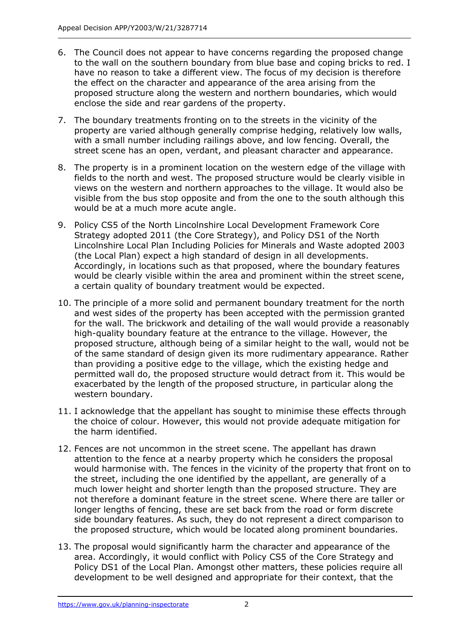- 6. The Council does not appear to have concerns regarding the proposed change to the wall on the southern boundary from blue base and coping bricks to red. I have no reason to take a different view. The focus of my decision is therefore the effect on the character and appearance of the area arising from the proposed structure along the western and northern boundaries, which would enclose the side and rear gardens of the property.
- 7. The boundary treatments fronting on to the streets in the vicinity of the property are varied although generally comprise hedging, relatively low walls, with a small number including railings above, and low fencing. Overall, the street scene has an open, verdant, and pleasant character and appearance.
- 8. The property is in a prominent location on the western edge of the village with fields to the north and west. The proposed structure would be clearly visible in views on the western and northern approaches to the village. It would also be visible from the bus stop opposite and from the one to the south although this would be at a much more acute angle.
- 9. Policy CS5 of the North Lincolnshire Local Development Framework Core Strategy adopted 2011 (the Core Strategy), and Policy DS1 of the North Lincolnshire Local Plan Including Policies for Minerals and Waste adopted 2003 (the Local Plan) expect a high standard of design in all developments. Accordingly, in locations such as that proposed, where the boundary features would be clearly visible within the area and prominent within the street scene, a certain quality of boundary treatment would be expected.
- 10. The principle of a more solid and permanent boundary treatment for the north and west sides of the property has been accepted with the permission granted for the wall. The brickwork and detailing of the wall would provide a reasonably high-quality boundary feature at the entrance to the village. However, the proposed structure, although being of a similar height to the wall, would not be of the same standard of design given its more rudimentary appearance. Rather than providing a positive edge to the village, which the existing hedge and permitted wall do, the proposed structure would detract from it. This would be exacerbated by the length of the proposed structure, in particular along the western boundary.
- 11. I acknowledge that the appellant has sought to minimise these effects through the choice of colour. However, this would not provide adequate mitigation for the harm identified.
- 12. Fences are not uncommon in the street scene. The appellant has drawn attention to the fence at a nearby property which he considers the proposal would harmonise with. The fences in the vicinity of the property that front on to the street, including the one identified by the appellant, are generally of a much lower height and shorter length than the proposed structure. They are not therefore a dominant feature in the street scene. Where there are taller or longer lengths of fencing, these are set back from the road or form discrete side boundary features. As such, they do not represent a direct comparison to the proposed structure, which would be located along prominent boundaries.
- 13. The proposal would significantly harm the character and appearance of the area. Accordingly, it would conflict with Policy CS5 of the Core Strategy and Policy DS1 of the Local Plan. Amongst other matters, these policies require all development to be well designed and appropriate for their context, that the